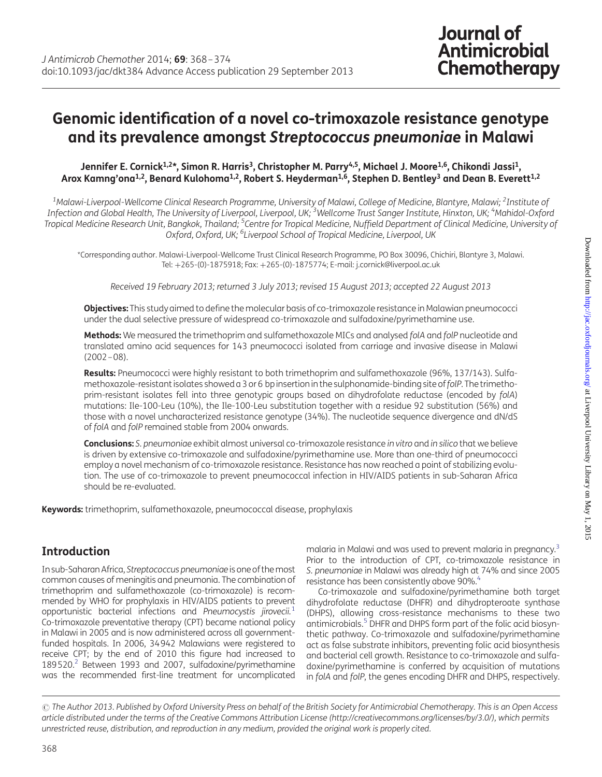# Genomic identification of a novel co-trimoxazole resistance genotype and its prevalence amongst Streptococcus pneumoniae in Malawi

#### Jennifer E. Cornick<sup>1,2\*</sup>, Simon R. Harris<sup>3</sup>, Christopher M. Parry<sup>4,5</sup>, Michael J. Moore<sup>1,6</sup>, Chikondi Jassi<sup>1</sup>, Arox Kamng'ona<sup>1,2</sup>, Benard Kulohoma<sup>1,2</sup>, Robert S. Heyderman<sup>1,6</sup>, Stephen D. Bentley<sup>3</sup> and Dean B. Everett<sup>1,2</sup>

<sup>1</sup>Malawi-Liverpool-Wellcome Clinical Research Programme, University of Malawi, College of Medicine, Blantyre, Malawi; <sup>2</sup>Institute of Infection and Global Health, The University of Liverpool, Liverpool, UK; <sup>3</sup>Wellcome Trust Sanger Institute, Hinxton, UK; <sup>4</sup>Mahidol-Oxford Tropical Medicine Research Unit, Bangkok, Thailand; <sup>5</sup>Centre for Tropical Medicine, Nuffield Department of Clinical Medicine, University of Oxford, Oxford, UK; <sup>6</sup>Liverpool School of Tropical Medicine, Liverpool, UK

\*Corresponding author. Malawi-Liverpool-Wellcome Trust Clinical Research Programme, PO Box 30096, Chichiri, Blantyre 3, Malawi. Tel: +265-(0)-1875918; Fax: +265-(0)-1875774; E-mail: j.cornick@liverpool.ac.uk

Received 19 February 2013; returned 3 July 2013; revised 15 August 2013; accepted 22 August 2013

Objectives: This study aimed to define the molecular basis of co-trimoxazole resistance in Malawian pneumococci under the dual selective pressure of widespread co-trimoxazole and sulfadoxine/pyrimethamine use.

Methods: We measured the trimethoprim and sulfamethoxazole MICs and analysed folA and folP nucleotide and translated amino acid sequences for 143 pneumococci isolated from carriage and invasive disease in Malawi  $(2002 - 08)$ .

Results: Pneumococci were highly resistant to both trimethoprim and sulfamethoxazole (96%, 137/143). Sulfamethoxazole-resistant isolates showed a 3 or 6 bp insertion in the sulphonamide-binding site offolP. The trimethoprim-resistant isolates fell into three genotypic groups based on dihydrofolate reductase (encoded by folA) mutations: Ile-100-Leu (10%), the Ile-100-Leu substitution together with a residue 92 substitution (56%) and those with a novel uncharacterized resistance genotype (34%). The nucleotide sequence divergence and dN/dS of folA and folP remained stable from 2004 onwards.

Conclusions: S. pneumoniae exhibit almost universal co-trimoxazole resistance in vitro and in silico that we believe is driven by extensive co-trimoxazole and sulfadoxine/pyrimethamine use. More than one-third of pneumococci employ a novel mechanism of co-trimoxazole resistance. Resistance has now reached a point of stabilizing evolution. The use of co-trimoxazole to prevent pneumococcal infection in HIV/AIDS patients in sub-Saharan Africa should be re-evaluated.

Keywords: trimethoprim, sulfamethoxazole, pneumococcal disease, prophylaxis

# Introduction

In sub-Saharan Africa, Streptococcus pneumoniae is one of themost common causes of meningitis and pneumonia. The combination of trimethoprim and sulfamethoxazole (co-trimoxazole) is recommended by WHO for prophylaxis in HIV/AIDS patients to prevent opportunistic bacterial infections and Pneumocystis jirovecii.<sup>[1](#page-6-0)</sup> Co-trimoxazole preventative therapy (CPT) became national policy in Malawi in 2005 and is now administered across all governmentfunded hospitals. In 2006, 34942 Malawians were registered to receive CPT; by the end of 2010 this figure had increased to 189520.<sup>2</sup> Between 1993 and 2007, sulfadoxine/pyrimethamine was the recommended first-line treatment for uncomplicated

malaria in Malawi and was used to prevent malaria in pregnancy.[3](#page-6-0) Prior to the introduction of CPT, co-trimoxazole resistance in S. pneumoniae in Malawi was already high at 74% and since 2005 resistance has been consistently above 90%.<sup>[4](#page-6-0)</sup>

Co-trimoxazole and sulfadoxine/pyrimethamine both target dihydrofolate reductase (DHFR) and dihydropteroate synthase (DHPS), allowing cross-resistance mechanisms to these two antimicrobials.[5](#page-6-0) DHFR and DHPS form part of the folic acid biosynthetic pathway. Co-trimoxazole and sulfadoxine/pyrimethamine act as false substrate inhibitors, preventing folic acid biosynthesis and bacterial cell growth. Resistance to co-trimoxazole and sulfadoxine/pyrimethamine is conferred by acquisition of mutations in folA and folP, the genes encoding DHFR and DHPS, respectively.

© The Author 2013. Published by Oxford University Press on behalf of the British Society for Antimicrobial Chemotherapy. This is an Open Access article distributed under the terms of the Creative Commons Attribution License (http://creativecommons.org/licenses/by/3.0/), which permits unrestricted reuse, distribution, and reproduction in any medium, provided the original work is properly cited.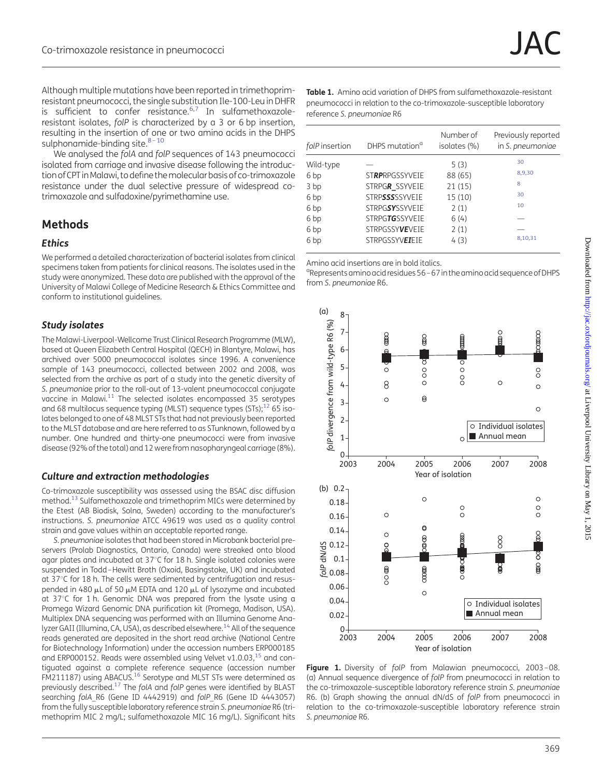<span id="page-1-0"></span>Although multiple mutations have been reported in trimethoprimresistant pneumococci, the single substitution Ile-100-Leu in DHFR is sufficient to confer resistance. $6,7$  In sulfamethoxazoleresistant isolates, folP is characterized by a 3 or 6 bp insertion, resulting in the insertion of one or two amino acids in the DHPS sulphonamide-binding site. $8-10$  $8-10$  $8-10$ 

We analysed the folA and folP sequences of 143 pneumococci isolated from carriage and invasive disease following the introduction of CPT in Malawi, to define the molecular basis of co-trimoxazole resistance under the dual selective pressure of widespread cotrimoxazole and sulfadoxine/pyrimethamine use.

## Methods

#### **Ethics**

We performed a detailed characterization of bacterial isolates from clinical specimens taken from patients for clinical reasons. The isolates used in the study were anonymized. These data are published with the approval of the University of Malawi College of Medicine Research & Ethics Committee and conform to institutional guidelines.

#### Study isolates

The Malawi-Liverpool-Wellcome Trust Clinical Research Programme (MLW), based at Queen Elizabeth Central Hospital (QECH) in Blantyre, Malawi, has archived over 5000 pneumococcal isolates since 1996. A convenience sample of 143 pneumococci, collected between 2002 and 2008, was selected from the archive as part of a study into the genetic diversity of S. pneumoniae prior to the roll-out of 13-valent pneumococcal conjugate vaccine in Malawi. $11$  The selected isolates encompassed 35 serotypes and 68 multilocus sequence typing (MLST) sequence types (STs); $^{12}$  $^{12}$  $^{12}$  65 isolates belonged to one of 48 MLST STs that had not previously been reported to the MLST database and are here referred to as STunknown, followed by a number. One hundred and thirty-one pneumococci were from invasive disease (92% of the total) and 12 were from nasopharyngeal carriage (8%).

#### Culture and extraction methodologies

Co-trimoxazole susceptibility was assessed using the BSAC disc diffusion method.[13](#page-6-0) Sulfamethoxazole and trimethoprim MICs were determined by the Etest (AB Biodisk, Solna, Sweden) according to the manufacturer's instructions. S. pneumoniae ATCC 49619 was used as a quality control strain and gave values within an acceptable reported range.

S. pneumoniae isolates that had been stored in Microbank bacterial preservers (Prolab Diagnostics, Ontario, Canada) were streaked onto blood agar plates and incubated at 37°C for 18 h. Single isolated colonies were suspended in Todd –Hewitt Broth (Oxoid, Basingstoke, UK) and incubated at 37°C for 18 h. The cells were sedimented by centrifugation and resuspended in 480  $\mu$ L of 50  $\mu$ M EDTA and 120  $\mu$ L of lysozyme and incubated at 37°C for 1 h. Genomic DNA was prepared from the lysate using a Promega Wizard Genomic DNA purification kit (Promega, Madison, USA). Multiplex DNA sequencing was performed with an Illumina Genome Analyzer GAII (Illumina, CA, USA), as described elsewhere.<sup>14</sup> All of the sequence reads generated are deposited in the short read archive (National Centre for Biotechnology Information) under the accession numbers ERP000185 and ERP000152. Reads were assembled using Velvet v1.0.03, $^{15}$  and contiguated against a complete reference sequence (accession number FM211187) using ABACUS.<sup>16</sup> Serotype and MLST STs were determined as previously described.<sup>17</sup> The folA and folP genes were identified by BLAST searching folA\_R6 (Gene ID 4442919) and folP\_R6 (Gene ID 4443057) from the fully susceptible laboratory reference strain S. pneumoniae R6 (trimethoprim MIC 2 mg/L; sulfamethoxazole MIC 16 mg/L). Significant hits

Table 1. Amino acid variation of DHPS from sulfamethoxazole-resistant pneumococci in relation to the co-trimoxazole-susceptible laboratory reference S. pneumoniae R6

| folP insertion  | DHPS mutation <sup>a</sup> | Number of<br>isolates (%) | Previously reported<br>in S. pneumoniae |
|-----------------|----------------------------|---------------------------|-----------------------------------------|
| Wild-type       |                            | 5(3)                      | 30                                      |
| 6 bp            | STRPRPGSSYVEIE             | 88 (65)                   | 8,9,30                                  |
| 3 bp            | STRPGR SSYVEIE             | 21(15)                    | 8                                       |
| 6 <sub>bp</sub> | <b>STRPSSSSSSYVETE</b>     | 15(10)                    | 30                                      |
| 6 <sub>bp</sub> | <b>STRPGSYSSYVETE</b>      | 2(1)                      | 10                                      |
| 6 <sub>bp</sub> | STRPGTGSSYVEIE             | 6(4)                      |                                         |
| 6 <sub>bp</sub> | STRPGSSYVEVEIE             | 2(1)                      |                                         |
| 6 bp            | <b>STRPGSSYVEIETE</b>      | 4(3)                      | 8,10,31                                 |

Amino acid insertions are in bold italics.

<sup>a</sup>Represents amino acid residues 56 - 67 in the amino acid sequence of DHPS from S. pneumoniae R6.



Figure 1. Diversity of folP from Malawian pneumococci, 2003-08. (a) Annual sequence divergence of folP from pneumococci in relation to the co-trimoxazole-susceptible laboratory reference strain S. pneumoniae R6. (b) Graph showing the annual dN/dS of folP from pneumococci in relation to the co-trimoxazole-susceptible laboratory reference strain S. pneumoniae R6.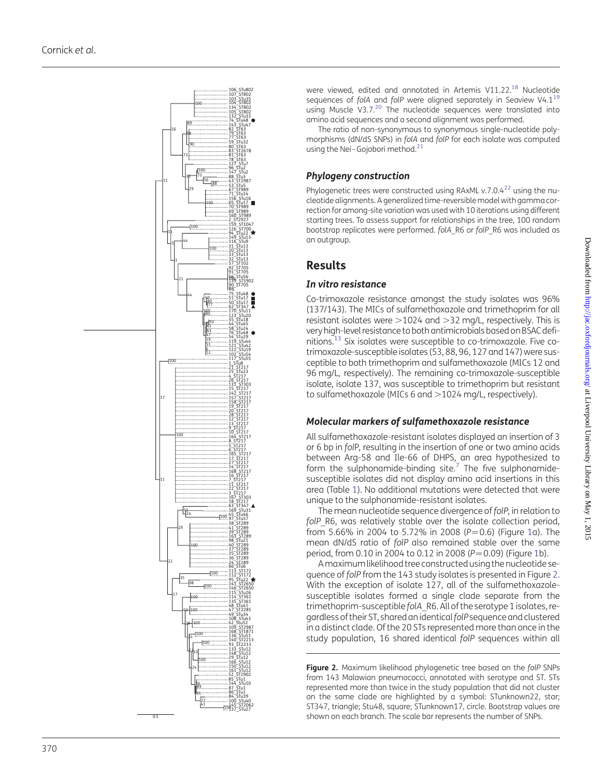

were viewed, edited and annotated in Artemis V11.22.<sup>[18](#page-6-0)</sup> Nucleotide sequences of folA and folP were aligned separately in Seaview  $V4.1^{19}$  $V4.1^{19}$  $V4.1^{19}$ using Muscle V3.7.<sup>[20](#page-6-0)</sup> The nucleotide sequences were translated into amino acid sequences and a second alignment was performed.

The ratio of non-synonymous to synonymous single-nucleotide polymorphisms (dN/dS SNPs) in folA and folP for each isolate was computed using the Nei-Gojobori method.<sup>21</sup>

## Phylogeny construction

Phylogenetic trees were constructed using RAxML v.7.0.4 $^{22}$  using the nucleotide alignments. A generalized time-reversible model with gamma correction for among-site variation was used with 10 iterations using different starting trees. To assess support for relationships in the tree, 100 random bootstrap replicates were performed. folA\_R6 or folP\_R6 was included as an outgroup.

# Results

#### In vitro resistance

Co-trimoxazole resistance amongst the study isolates was 96% (137/143). The MICs of sulfamethoxazole and trimethoprim for all resistant isolates were >1024 and >32 mg/L, respectively. This is very high-level resistance to both antimicrobials based on BSAC defi-nitions.<sup>[13](#page-6-0)</sup> Six isolates were susceptible to co-trimoxazole. Five cotrimoxazole-susceptible isolates (53, 88, 96, 127 and 147) were susceptible to both trimethoprim and sulfamethoxazole (MICs 12 and 96 mg/L, respectively). The remaining co-trimoxazole-susceptible isolate, isolate 137, was susceptible to trimethoprim but resistant to sulfamethoxazole (MICs 6 and .1024 mg/L, respectively).

#### Molecular markers of sulfamethoxazole resistance

All sulfamethoxazole-resistant isolates displayed an insertion of 3 or 6 bp in folP, resulting in the insertion of one or two amino acids between Arg-58 and Ile-66 of DHPS, an area hypothesized to form the sulphonamide-binding site. $^7$  $^7$  The five sulphonamidesusceptible isolates did not display amino acid insertions in this area (Table [1\)](#page-1-0). No additional mutations were detected that were unique to the sulphonamide-resistant isolates.

The mean nucleotide sequence divergence of folP, in relation to folP\_R6, was relatively stable over the isolate collection period, from 5.66% in 2004 to 5.72% in 2008 (P=0.6) (Figure [1a](#page-1-0)). The mean dN/dS ratio of folP also remained stable over the same period, from 0.10 in 2004 to 0.12 in 2008 ( $P = 0.09$ ) (Figure [1b](#page-1-0)).

Amaximum likelihood tree constructed using the nucleotide sequence of folP from the 143 study isolates is presented in Figure 2. With the exception of isolate 127, all of the sulfamethoxazolesusceptible isolates formed a single clade separate from the trimethoprim-susceptible folA\_R6. All of the serotype 1 isolates, regardless of their ST, shared an identical folP sequence and clustered in a distinct clade. Of the 20 STs represented more than once in the study population, 16 shared identical folP sequences within all

Figure 2. Maximum likelihood phylogenetic tree based on the folP SNPs from 143 Malawian pneumococci, annotated with serotype and ST. STs represented more than twice in the study population that did not cluster on the same clade are highlighted by a symbol: STunknown22, star; ST347, triangle; Stu48, square; STunknown17, circle. Bootstrap values are shown on each branch. The scale bar represents the number of SNPs.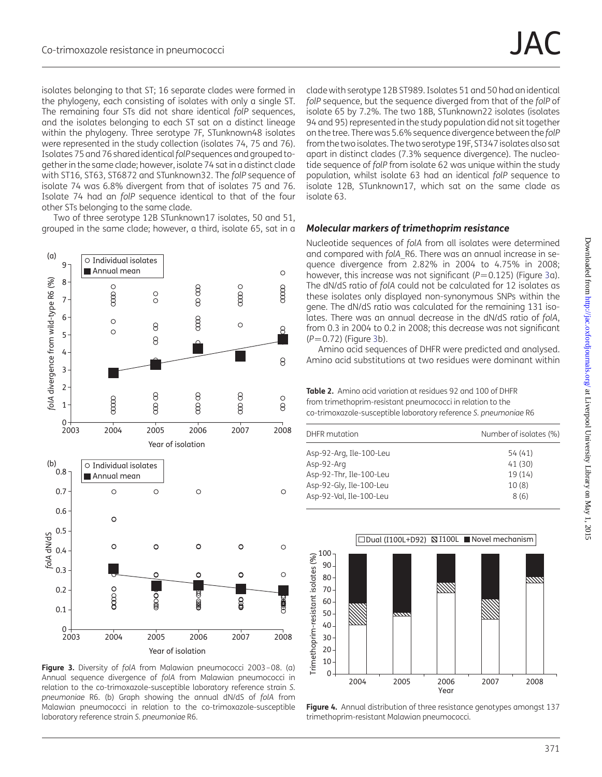<span id="page-3-0"></span>isolates belonging to that ST; 16 separate clades were formed in the phylogeny, each consisting of isolates with only a single ST. The remaining four STs did not share identical folP sequences, and the isolates belonging to each ST sat on a distinct lineage within the phylogeny. Three serotype 7F, STunknown48 isolates were represented in the study collection (isolates 74, 75 and 76). Isolates 75 and 76 shared identical folP sequences and grouped together in the same clade; however, isolate 74 sat in a distinct clade with ST16, ST63, ST6872 and STunknown32. The folP sequence of isolate 74 was 6.8% divergent from that of isolates 75 and 76. Isolate 74 had an folP sequence identical to that of the four other STs belonging to the same clade.

Two of three serotype 12B STunknown17 isolates, 50 and 51, grouped in the same clade; however, a third, isolate 65, sat in a



Figure 3. Diversity of folA from Malawian pneumococci 2003-08. (a) Annual sequence divergence of folA from Malawian pneumococci in relation to the co-trimoxazole-susceptible laboratory reference strain S. pneumoniae R6. (b) Graph showing the annual dN/dS of folA from Malawian pneumococci in relation to the co-trimoxazole-susceptible laboratory reference strain S. pneumoniae R6.

clade with serotype 12B ST989. Isolates 51 and 50 had an identical folP sequence, but the sequence diverged from that of the folP of isolate 65 by 7.2%. The two 18B, STunknown22 isolates (isolates 94 and 95) represented in the study population did not sit together on the tree. There was 5.6% sequence divergence between the folP from the two isolates. The two serotype 19F, ST347 isolates also sat apart in distinct clades (7.3% sequence divergence). The nucleotide sequence of folP from isolate 62 was unique within the study population, whilst isolate 63 had an identical folP sequence to isolate 12B, STunknown17, which sat on the same clade as isolate 63.

#### Molecular markers of trimethoprim resistance

Nucleotide sequences of folA from all isolates were determined and compared with folA R6. There was an annual increase in sequence divergence from 2.82% in 2004 to 4.75% in 2008; however, this increase was not significant ( $P=0.125$ ) (Figure 3a). The dN/dS ratio of folA could not be calculated for 12 isolates as these isolates only displayed non-synonymous SNPs within the gene. The dN/dS ratio was calculated for the remaining 131 isolates. There was an annual decrease in the dN/dS ratio of folA, from 0.3 in 2004 to 0.2 in 2008; this decrease was not significant  $(P=0.72)$  (Figure 3b).

Amino acid sequences of DHFR were predicted and analysed. Amino acid substitutions at two residues were dominant within

Table 2. Amino acid variation at residues 92 and 100 of DHFR from trimethoprim-resistant pneumococci in relation to the co-trimoxazole-susceptible laboratory reference S. pneumoniae R6

| Number of isolates (%) |  |
|------------------------|--|
| 54 (41)                |  |
| 41 (30)                |  |
| 19(14)                 |  |
| 10(8)                  |  |
| 8(6)                   |  |
|                        |  |



Figure 4. Annual distribution of three resistance genotypes amongst 137 trimethoprim-resistant Malawian pneumococci.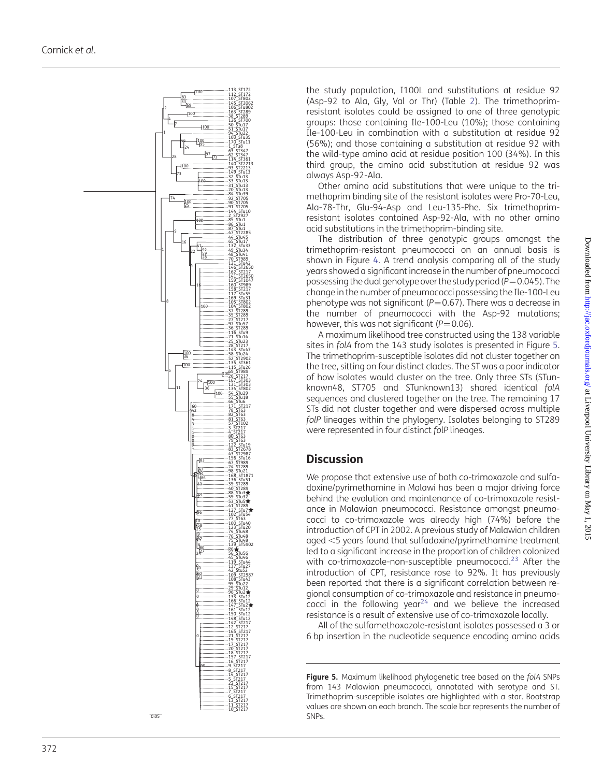

the study population, I100L and substitutions at residue 92 (Asp-92 to Ala, Gly, Val or Thr) (Table [2](#page-3-0)). The trimethoprimresistant isolates could be assigned to one of three genotypic groups: those containing Ile-100-Leu (10%); those containing Ile-100-Leu in combination with a substitution at residue 92 (56%); and those containing a substitution at residue 92 with the wild-type amino acid at residue position 100 (34%). In this third group, the amino acid substitution at residue 92 was always Asp-92-Ala.

Other amino acid substitutions that were unique to the trimethoprim binding site of the resistant isolates were Pro-70-Leu, Ala-78-Thr, Glu-94-Asp and Leu-135-Phe. Six trimethoprimresistant isolates contained Asp-92-Ala, with no other amino acid substitutions in the trimethoprim-binding site.

The distribution of three genotypic groups amongst the trimethoprim-resistant pneumococci on an annual basis is shown in Figure [4](#page-3-0). A trend analysis comparing all of the study years showed a significant increase in the number of pneumococci possessing the dual genotype over the study period ( $P = 0.045$ ). The change in the number of pneumococci possessing the Ile-100-Leu phenotype was not significant ( $P=0.67$ ). There was a decrease in the number of pneumococci with the Asp-92 mutations; however, this was not significant ( $P = 0.06$ ).

A maximum likelihood tree constructed using the 138 variable sites in folA from the 143 study isolates is presented in Figure 5. The trimethoprim-susceptible isolates did not cluster together on the tree, sitting on four distinct clades. The ST was a poor indicator of how isolates would cluster on the tree. Only three STs (STunknown48, ST705 and STunknown13) shared identical folA sequences and clustered together on the tree. The remaining 17 STs did not cluster together and were dispersed across multiple folP lineages within the phylogeny. Isolates belonging to ST289 were represented in four distinct fo l P lineages.

# **Discussion**

We propose that extensive use of both co-trimoxazole and sulfadoxine/pyrimethamine in Malawi has been a major driving force behind the evolution and maintenance of co-trimoxazole resistance in Malawian pneumococci. Resistance amongst pneumococci to co-trimoxazole was already high (74%) before the introduction of CPT in 2002. A previous study of Malawian children aged ,5 years found that sulfadoxine/pyrimethamine treatment led to a significant increase in the proportion of children colonized with co-trimoxazole-non-susceptible pneumococci. $^{23}$  $^{23}$  $^{23}$  After the introduction of CPT, resistance rose to 92%. It has previously been reported that there is a significant correlation between regional consumption of co-trimoxazole and resistance in pneumococci in the following year<sup>24</sup> and we believe the increased resistance is a result of extensive use of co-trimoxazole locally.

All of the sulfamethoxazole-resistant isolates possessed a 3 or 6 bp insertion in the nucleotide sequence encoding amino acids

Figure 5. Maximum likelihood phylogenetic tree based on the folA SNPs from 143 Malawian pneumococci, annotated with serotype and ST. Trimethoprim-susceptible isolates are highlighted with a star. Bootstrap values are shown on each branch. The scale bar represents the number of SNPs.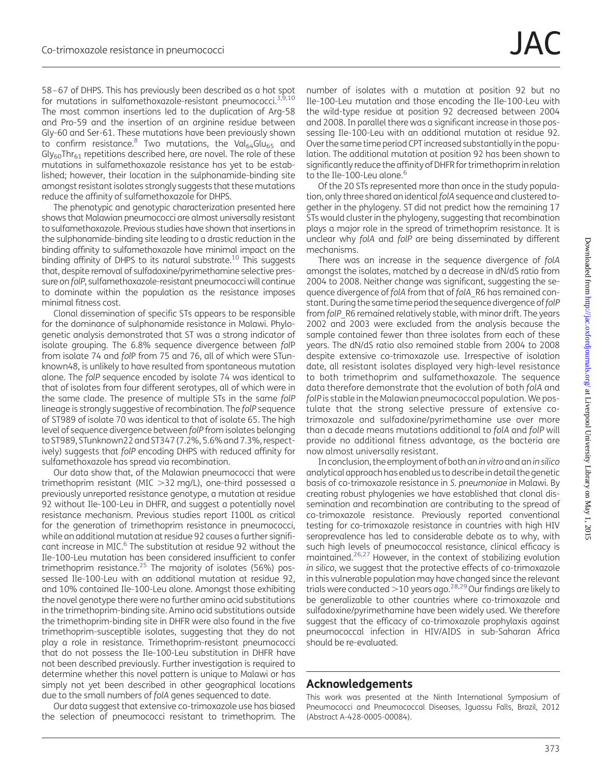58 –67 of DHPS. This has previously been described as a hot spot for mutations in sulfamethoxazole-resistant pneumococci.<sup>[3,9](#page-6-0),[10](#page-6-0)</sup> The most common insertions led to the duplication of Arg-58 and Pro-59 and the insertion of an arginine residue between Gly-60 and Ser-61. These mutations have been previously shown to confirm resistance.<sup>8</sup> Two mutations, the Val $_{64}$ Glu $_{65}$  and  $Gly_{60}Thr_{61}$  repetitions described here, are novel. The role of these mutations in sulfamethoxazole resistance has yet to be established; however, their location in the sulphonamide-binding site amongst resistant isolates strongly suggests that these mutations reduce the affinity of sulfamethoxazole for DHPS.

The phenotypic and genotypic characterization presented here shows that Malawian pneumococci are almost universally resistant to sulfamethoxazole. Previous studies have shown that insertions in the sulphonamide-binding site leading to a drastic reduction in the binding affinity to sulfamethoxazole have minimal impact on the binding affinity of DHPS to its natural substrate.<sup>[10](#page-6-0)</sup> This suggests that, despite removal of sulfadoxine/pyrimethamine selective pressure on folP, sulfamethoxazole-resistant pneumococci will continue to dominate within the population as the resistance imposes minimal fitness cost.

Clonal dissemination of specific STs appears to be responsible for the dominance of sulphonamide resistance in Malawi. Phylogenetic analysis demonstrated that ST was a strong indicator of isolate grouping. The 6.8% sequence divergence between folP from isolate 74 and folP from 75 and 76, all of which were STunknown48, is unlikely to have resulted from spontaneous mutation alone. The folP sequence encoded by isolate 74 was identical to that of isolates from four different serotypes, all of which were in the same clade. The presence of multiple STs in the same folP lineage is strongly suggestive of recombination. The folP sequence of ST989 of isolate 70 was identical to that of isolate 65. The high level of sequence divergence between folP from isolates belonging to ST989, STunknown22 and ST347 (7.2%, 5.6% and 7.3%, respectively) suggests that folP encoding DHPS with reduced affinity for sulfamethoxazole has spread via recombination.

Our data show that, of the Malawian pneumococci that were trimethoprim resistant (MIC  $>$ 32 mg/L), one-third possessed a previously unreported resistance genotype, a mutation at residue 92 without Ile-100-Leu in DHFR, and suggest a potentially novel resistance mechanism. Previous studies report I100L as critical for the generation of trimethoprim resistance in pneumococci, while an additional mutation at residue 92 causes a further signifi-cant increase in MIC.<sup>[6](#page-6-0)</sup> The substitution at residue 92 without the Ile-100-Leu mutation has been considered insufficient to confer trimethoprim resistance. $25$  The majority of isolates (56%) possessed Ile-100-Leu with an additional mutation at residue 92, and 10% contained Ile-100-Leu alone. Amongst those exhibiting the novel genotype there were no further amino acid substitutions in the trimethoprim-binding site. Amino acid substitutions outside the trimethoprim-binding site in DHFR were also found in the five trimethoprim-susceptible isolates, suggesting that they do not play a role in resistance. Trimethoprim-resistant pneumococci that do not possess the Ile-100-Leu substitution in DHFR have not been described previously. Further investigation is required to determine whether this novel pattern is unique to Malawi or has simply not yet been described in other geographical locations due to the small numbers of folA genes sequenced to date.

Our data suggest that extensive co-trimoxazole use has biased the selection of pneumococci resistant to trimethoprim. The

number of isolates with a mutation at position 92 but no Ile-100-Leu mutation and those encoding the Ile-100-Leu with the wild-type residue at position 92 decreased between 2004 and 2008. In parallel there was a significant increase in those possessing Ile-100-Leu with an additional mutation at residue 92. Over the same time period CPT increased substantially in the population. The additional mutation at position 92 has been shown to significantly reduce the affinity of DHFR for trimethoprim in relation to the Ile-100-Leu alone.<sup>[6](#page-6-0)</sup>

Of the 20 STs represented more than once in the study population, only three shared an identical folA sequence and clustered together in the phylogeny. ST did not predict how the remaining 17 STs would cluster in the phylogeny, suggesting that recombination plays a major role in the spread of trimethoprim resistance. It is unclear why folA and folP are being disseminated by different mechanisms.

There was an increase in the sequence divergence of folA amongst the isolates, matched by a decrease in dN/dS ratio from 2004 to 2008. Neither change was significant, suggesting the sequence divergence of folA from that of folA\_R6 has remained constant. During the same time period the sequence divergence offolP from folP\_R6 remained relatively stable, with minor drift. The years 2002 and 2003 were excluded from the analysis because the sample contained fewer than three isolates from each of these years. The dN/dS ratio also remained stable from 2004 to 2008 despite extensive co-trimoxazole use. Irrespective of isolation date, all resistant isolates displayed very high-level resistance to both trimethoprim and sulfamethoxazole. The sequence data therefore demonstrate that the evolution of both folA and folP is stable in the Malawian pneumococcal population. We postulate that the strong selective pressure of extensive cotrimoxazole and sulfadoxine/pyrimethamine use over more than a decade means mutations additional to folA and folP will provide no additional fitness advantage, as the bacteria are now almost universally resistant.

In conclusion, the employment of both an in vitro and an in silico analytical approach has enabled us to describe in detail the genetic basis of co-trimoxazole resistance in S. pneumoniae in Malawi. By creating robust phylogenies we have established that clonal dissemination and recombination are contributing to the spread of co-trimoxazole resistance. Previously reported conventional testing for co-trimoxazole resistance in countries with high HIV seroprevalence has led to considerable debate as to why, with such high levels of pneumococcal resistance, clinical efficacy is maintained.[26,27](#page-6-0) However, in the context of stabilizing evolution in silico, we suggest that the protective effects of co-trimoxazole in this vulnerable population may have changed since the relevant trials were conducted  $>$  10 years ago.<sup>28,[29](#page-6-0)</sup> Our findings are likely to be generalizable to other countries where co-trimoxazole and sulfadoxine/pyrimethamine have been widely used. We therefore suggest that the efficacy of co-trimoxazole prophylaxis against pneumococcal infection in HIV/AIDS in sub-Saharan Africa should be re-evaluated.

#### Acknowledgements

This work was presented at the Ninth International Symposium of Pneumococci and Pneumococcal Diseases, Iguassu Falls, Brazil, 2012 (Abstract A-428-0005-00084).